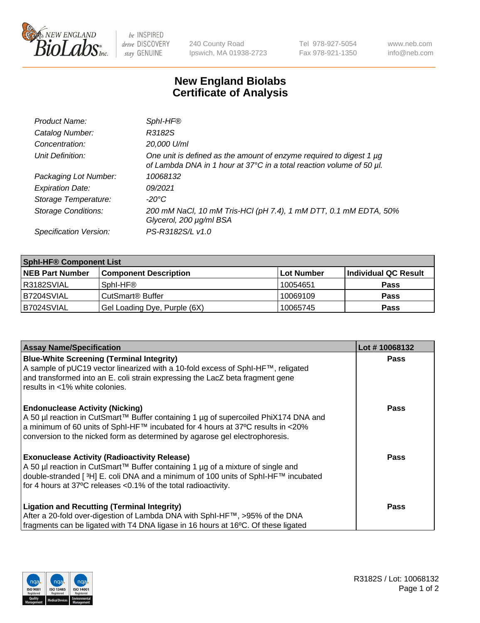

 $be$  INSPIRED drive DISCOVERY stay GENUINE

240 County Road Ipswich, MA 01938-2723 Tel 978-927-5054 Fax 978-921-1350 www.neb.com info@neb.com

## **New England Biolabs Certificate of Analysis**

| Product Name:              | SphI-HF®                                                                                                                                    |
|----------------------------|---------------------------------------------------------------------------------------------------------------------------------------------|
| Catalog Number:            | R3182S                                                                                                                                      |
| Concentration:             | 20,000 U/ml                                                                                                                                 |
| Unit Definition:           | One unit is defined as the amount of enzyme required to digest 1 µg<br>of Lambda DNA in 1 hour at 37°C in a total reaction volume of 50 µl. |
| Packaging Lot Number:      | 10068132                                                                                                                                    |
| <b>Expiration Date:</b>    | 09/2021                                                                                                                                     |
| Storage Temperature:       | $-20^{\circ}$ C                                                                                                                             |
| <b>Storage Conditions:</b> | 200 mM NaCl, 10 mM Tris-HCl (pH 7.4), 1 mM DTT, 0.1 mM EDTA, 50%<br>Glycerol, 200 µg/ml BSA                                                 |
| Specification Version:     | PS-R3182S/L v1.0                                                                                                                            |

| <b>Sphl-HF® Component List</b> |                              |            |                      |  |
|--------------------------------|------------------------------|------------|----------------------|--|
| <b>NEB Part Number</b>         | <b>Component Description</b> | Lot Number | Individual QC Result |  |
| R3182SVIAL                     | Sphl-HF®                     | 10054651   | <b>Pass</b>          |  |
| B7204SVIAL                     | CutSmart <sup>®</sup> Buffer | 10069109   | <b>Pass</b>          |  |
| B7024SVIAL                     | Gel Loading Dye, Purple (6X) | 10065745   | <b>Pass</b>          |  |

| <b>Assay Name/Specification</b>                                                                                                                                                 | Lot #10068132 |
|---------------------------------------------------------------------------------------------------------------------------------------------------------------------------------|---------------|
| <b>Blue-White Screening (Terminal Integrity)</b><br>A sample of pUC19 vector linearized with a 10-fold excess of SphI-HF™, religated                                            | <b>Pass</b>   |
| and transformed into an E. coli strain expressing the LacZ beta fragment gene<br>results in <1% white colonies.                                                                 |               |
| <b>Endonuclease Activity (Nicking)</b>                                                                                                                                          | <b>Pass</b>   |
| A 50 µl reaction in CutSmart™ Buffer containing 1 µg of supercoiled PhiX174 DNA and<br>$\alpha$ a minimum of 60 units of SphI-HF™ incubated for 4 hours at 37°C results in <20% |               |
| conversion to the nicked form as determined by agarose gel electrophoresis.                                                                                                     |               |
| <b>Exonuclease Activity (Radioactivity Release)</b>                                                                                                                             | Pass          |
| A 50 µl reaction in CutSmart™ Buffer containing 1 µg of a mixture of single and                                                                                                 |               |
| double-stranded [3H] E. coli DNA and a minimum of 100 units of SphI-HF™ incubated<br>for 4 hours at 37°C releases <0.1% of the total radioactivity.                             |               |
| <b>Ligation and Recutting (Terminal Integrity)</b>                                                                                                                              | <b>Pass</b>   |
| After a 20-fold over-digestion of Lambda DNA with SphI-HF™, >95% of the DNA                                                                                                     |               |
| fragments can be ligated with T4 DNA ligase in 16 hours at 16°C. Of these ligated                                                                                               |               |